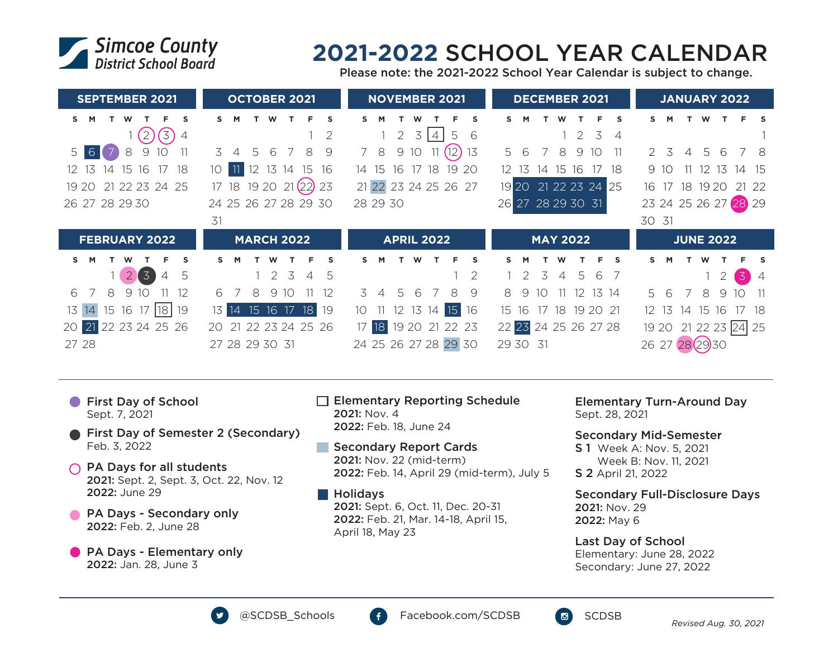

## **2021-2022** SCHOOL YEAR CALENDAR

Please note: the 2021-2022 School Year Calendar is subject to change.

| <b>SEPTEMBER 2021</b>                            | <b>OCTOBER 2021</b>                                   | <b>NOVEMBER 2021</b>                            | <b>DECEMBER 2021</b>                           | <b>JANUARY 2022</b>                                            |
|--------------------------------------------------|-------------------------------------------------------|-------------------------------------------------|------------------------------------------------|----------------------------------------------------------------|
| S<br>s<br>м<br>w                                 | S                                                     | s                                               | s.<br>Е<br><b>S</b>                            |                                                                |
| (3)<br>$\binom{2}{2}$<br>4                       | 2                                                     | 5<br>$\overline{2}$<br>3<br>$\overline{4}$<br>6 | $1\quad2$<br>3<br>$\overline{4}$               |                                                                |
| 6 <sup>1</sup><br>9<br>8<br>10<br>5 <sup>1</sup> | 3<br>9<br>8<br>5<br>6                                 | (12)<br>9 10<br>8<br>13                         | 5<br>8<br>9<br>10<br>6                         | $5^{\circ}$<br>$\mathcal{P}$<br>3<br>6<br>-8<br>$\overline{4}$ |
| 15 16<br>17<br>18<br>13<br>$\overline{14}$       | 12 13 14<br>15<br>16                                  | 18<br>16<br>17<br>20<br>19<br>14<br>-15         | 15 16<br>12 <sup>12</sup><br>18<br>13<br>14    | 12 <sup>°</sup><br>13<br>-15<br>9<br>14                        |
| 21 22 23 24 25<br>1920                           | 17 18 19 20 21 (22) 23                                | 21 22 23 24 25 26 27                            | 19 20 21 22 23 24 25                           | 18 19 20 21<br>22<br>16 17                                     |
| 26 27 28 29 30                                   | 24 25 26 27 28 29 30                                  | 28 29 30                                        | 26 27 28 29 30 31                              | 23 24 25 26 27 28 29                                           |
|                                                  |                                                       |                                                 |                                                |                                                                |
|                                                  | 31                                                    |                                                 |                                                | 30 31                                                          |
| <b>FEBRUARY 2022</b>                             | <b>MARCH 2022</b>                                     | <b>APRIL 2022</b>                               | <b>MAY 2022</b>                                | <b>JUNE 2022</b>                                               |
| s.<br>F.<br><b>S</b><br>M                        | F.<br>s<br>S.<br>м                                    | S<br>F<br>ς<br>w                                | $\mathbf{s}$<br>F<br><b>S</b><br>м             | s                                                              |
| $\sqrt{3}$<br>5<br>$\overline{2}$<br>4           | $\overline{5}$<br>12<br>5<br>$\overline{\mathcal{A}}$ |                                                 | 3<br>.5<br>6<br>$\Delta$                       | $\overline{3}$                                                 |
| 8<br>9<br>10<br>6<br>12                          | 9 10<br>6<br>8<br>12                                  | 9<br>6<br>8<br>3<br>.5<br>$\overline{4}$        | 8<br>12<br>13 14<br>10 <sup>2</sup><br>9<br>11 | $\overline{7}$<br>8<br>5<br>6<br>9<br>1 <sup>O</sup><br>11     |
| 15 16 17 18 19<br>13<br>14                       | 15 16 17<br>18<br>19<br>13  <br> 14                   | 12 13 14 15<br>16<br>10 <sup>°</sup>            | 17<br>18 19 20 21<br>15 16                     | 14 15 16<br>- 18<br>12 13                                      |
| 20 21 22 23 24 25 26                             | 21 22 23 24 25 26<br>20                               | 17 18<br>19 20 21 22 23                         | 22 23 24 25 26 27 28                           | 19 20 21 22 23 24 25                                           |

- **First Day of School** Sept. 7, 2021
- **First Day of Semester 2 (Secondary)** Feb. 3, 2022
- $\bigcap$  PA Days for all students 2021: Sept. 2, Sept. 3, Oct. 22, Nov. 12 2022: June 29
- **PA Days Secondary only** 2022: Feb. 2, June 28
- **PA Days Elementary only** 2022: Jan. 28, June 3
- $\Box$  Elementary Reporting Schedule 2021: Nov. 4 2022: Feb. 18, June 24
- Secondary Report Cards **COL** 2021: Nov. 22 (mid-term) 2022: Feb. 14, April 29 (mid-term), July 5
- **Holidays** 2021: Sept. 6, Oct. 11, Dec. 20-31 2022: Feb. 21, Mar. 14-18, April 15, April 18, May 23

Elementary Turn-Around Day Sept. 28, 2021

Secondary Mid-Semester

S 1 Week A: Nov. 5, 2021 Week B: Nov. 11, 2021 S 2 April 21, 2022

Secondary Full-Disclosure Days 2021: Nov. 29 2022: May 6

## Last Day of School Elementary: June 28, 2022 Secondary: June 27, 2022